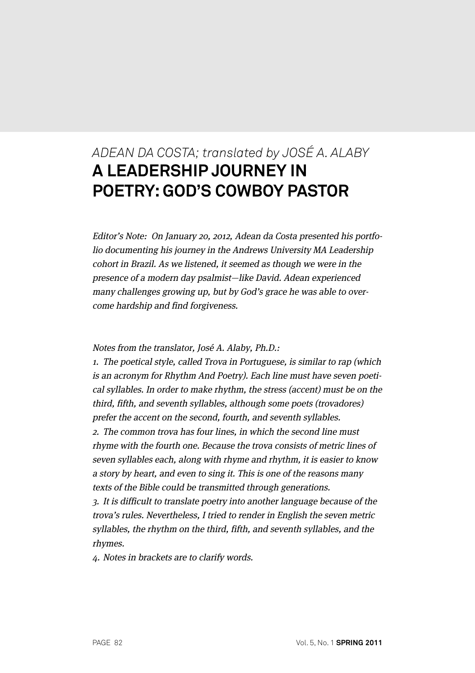# *ADEAN DA COSTA; translated by JOSÉ A. ALABY* **A LEADERSHIP JOURNEY IN POETRY: GOD'S COWBOY PASTOR**

Editor's Note: On January 20, 2012, Adean da Costa presented his portfolio documenting his journey in the Andrews University MA Leadership cohort in Brazil. As we listened, it seemed as though we were in the presence of a modern day psalmist—like David. Adean experienced many challenges growing up, but by God's grace he was able to overcome hardship and find forgiveness.

Notes from the translator, José A. Alaby, Ph.D.:

1. The poetical style, called Trova in Portuguese, is similar to rap (which is an acronym for Rhythm And Poetry). Each line must have seven poetical syllables. In order to make rhythm, the stress (accent) must be on the third, fifth, and seventh syllables, although some poets (trovadores) prefer the accent on the second, fourth, and seventh syllables. 2. The common trova has four lines, in which the second line must rhyme with the fourth one. Because the trova consists of metric lines of seven syllables each, along with rhyme and rhythm, it is easier to know a story by heart, and even to sing it. This is one of the reasons many texts of the Bible could be transmitted through generations. 3. It is difficult to translate poetry into another language because of the

trova's rules. Nevertheless, I tried to render in English the seven metric syllables, the rhythm on the third, fifth, and seventh syllables, and the rhymes.

4. Notes in brackets are to clarify words.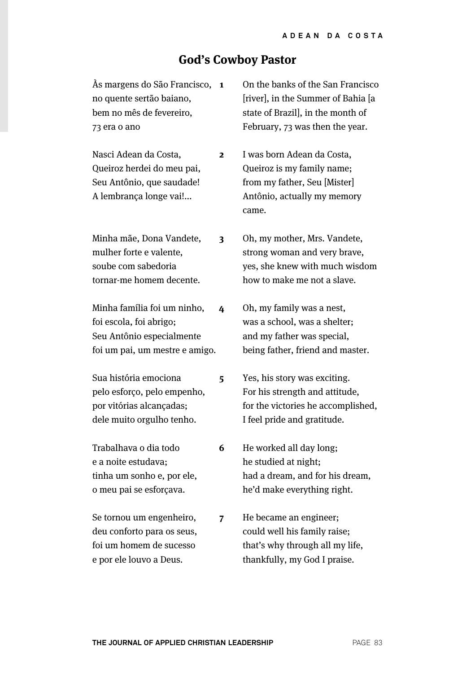## **God's Cowboy Pastor**

**2**

**5**

**6**

Às margens do São Francisco, **1** no quente sertão baiano, bem no mês de fevereiro, 73 era o ano

Nasci Adean da Costa, Queiroz herdei do meu pai, Seu Antônio, que saudade! A lembrança longe vai!...

Minha mãe, Dona Vandete, mulher forte e valente, soube com sabedoria tornar-me homem decente. **3**

Minha família foi um ninho, foi escola, foi abrigo; Seu Antônio especialmente foi um pai, um mestre e amigo. **4**

Sua história emociona pelo esforço, pelo empenho, por vitórias alcançadas; dele muito orgulho tenho.

Trabalhava o dia todo e a noite estudava; tinha um sonho e, por ele, o meu pai se esforçava.

Se tornou um engenheiro, deu conforto para os seus, foi um homem de sucesso e por ele louvo a Deus.

On the banks of the San Francisco [river], in the Summer of Bahia [a state of Brazil], in the month of February, 73 was then the year.

I was born Adean da Costa, Queiroz is my family name; from my father, Seu [Mister] Antônio, actually my memory came.

Oh, my mother, Mrs. Vandete, strong woman and very brave, yes, she knew with much wisdom how to make me not a slave.

Oh, my family was a nest, was a school, was a shelter; and my father was special, being father, friend and master.

Yes, his story was exciting. For his strength and attitude, for the victories he accomplished, I feel pride and gratitude.

He worked all day long; he studied at night; had a dream, and for his dream, he'd make everything right.

He became an engineer; could well his family raise; that's why through all my life, thankfully, my God I praise. **7**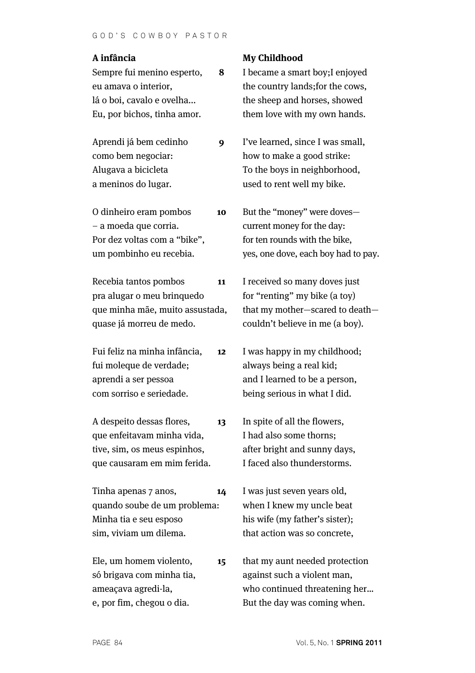## **A infância**

Sempre fui menino esperto, eu amava o interior, lá o boi, cavalo e ovelha... Eu, por bichos, tinha amor.

Aprendi já bem cedinho como bem negociar: Alugava a bicicleta a meninos do lugar.

O dinheiro eram pombos – a moeda que corria. Por dez voltas com a "bike", um pombinho eu recebia. **10**

Recebia tantos pombos pra alugar o meu brinquedo que minha mãe, muito assustada, quase já morreu de medo. **11**

Fui feliz na minha infância, fui moleque de verdade; aprendi a ser pessoa com sorriso e seriedade. **12**

A despeito dessas flores, que enfeitavam minha vida, tive, sim, os meus espinhos, que causaram em mim ferida. **13**

Tinha apenas 7 anos, quando soube de um problema: Minha tia e seu esposo sim, viviam um dilema. **14**

Ele, um homem violento, só brigava com minha tia, ameaçava agredi-la, e, por fim, chegou o dia. **15**

## **My Childhood**

**8**

**9**

I became a smart boy;I enjoyed the country lands;for the cows, the sheep and horses, showed them love with my own hands.

I've learned, since I was small, how to make a good strike: To the boys in neighborhood, used to rent well my bike.

But the "money" were doves current money for the day: for ten rounds with the bike, yes, one dove, each boy had to pay.

I received so many doves just for "renting" my bike (a toy) that my mother—scared to death couldn't believe in me (a boy).

I was happy in my childhood; always being a real kid; and I learned to be a person, being serious in what I did.

In spite of all the flowers, I had also some thorns; after bright and sunny days, I faced also thunderstorms.

I was just seven years old, when I knew my uncle beat his wife (my father's sister); that action was so concrete,

that my aunt needed protection against such a violent man, who continued threatening her… But the day was coming when.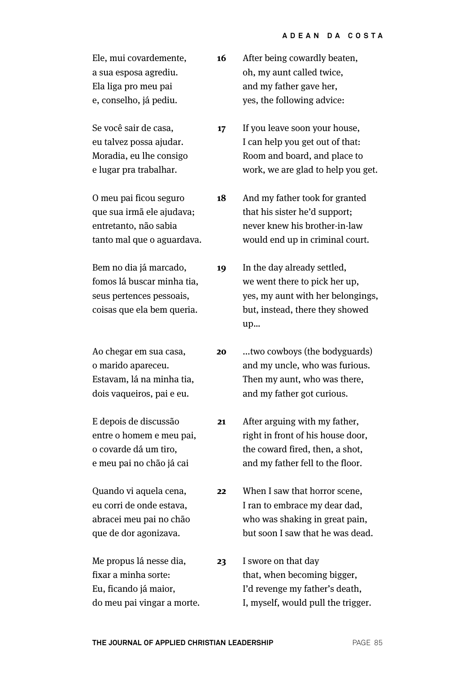| Ele, mui covardemente,<br>a sua esposa agrediu.<br>Ela liga pro meu pai<br>e, conselho, já pediu.              | 16 | After being cowardly beaten,<br>oh, my aunt called twice,<br>and my father gave her,<br>yes, the following advice:                         |
|----------------------------------------------------------------------------------------------------------------|----|--------------------------------------------------------------------------------------------------------------------------------------------|
| Se você sair de casa,<br>eu talvez possa ajudar.<br>Moradia, eu lhe consigo<br>e lugar pra trabalhar.          | 17 | If you leave soon your house,<br>I can help you get out of that:<br>Room and board, and place to<br>work, we are glad to help you get.     |
| O meu pai ficou seguro<br>que sua irmã ele ajudava;<br>entretanto, não sabia<br>tanto mal que o aguardava.     | 18 | And my father took for granted<br>that his sister he'd support;<br>never knew his brother-in-law<br>would end up in criminal court.        |
| Bem no dia já marcado,<br>fomos lá buscar minha tia,<br>seus pertences pessoais,<br>coisas que ela bem queria. | 19 | In the day already settled,<br>we went there to pick her up,<br>yes, my aunt with her belongings,<br>but, instead, there they showed<br>up |
| Ao chegar em sua casa,<br>o marido apareceu.<br>Estavam, lá na minha tia,<br>dois vaqueiros, pai e eu.         | 20 | two cowboys (the bodyguards)<br>and my uncle, who was furious.<br>Then my aunt, who was there,<br>and my father got curious.               |
| E depois de discussão<br>entre o homem e meu pai,<br>o covarde dá um tiro,<br>e meu pai no chão já cai         | 21 | After arguing with my father,<br>right in front of his house door,<br>the coward fired, then, a shot,<br>and my father fell to the floor.  |
| Quando vi aquela cena,<br>eu corri de onde estava,<br>abracei meu pai no chão<br>que de dor agonizava.         | 22 | When I saw that horror scene,<br>I ran to embrace my dear dad,<br>who was shaking in great pain,<br>but soon I saw that he was dead.       |
| Me propus lá nesse dia,<br>fixar a minha sorte:<br>Eu, ficando já maior,<br>do meu pai vingar a morte.         | 23 | I swore on that day<br>that, when becoming bigger,<br>I'd revenge my father's death,<br>I, myself, would pull the trigger.                 |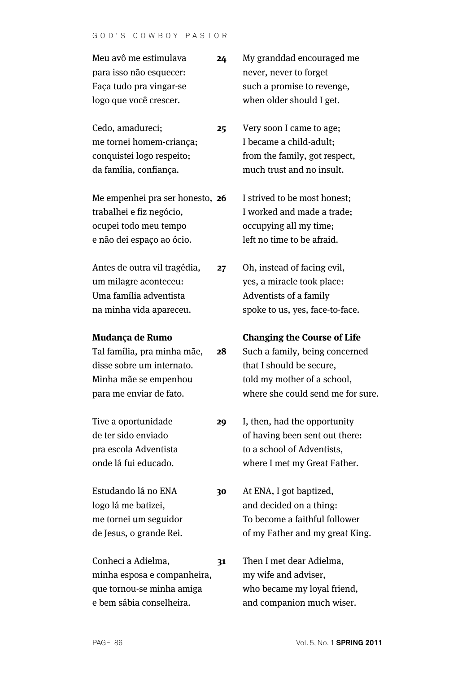| Meu avô me estimulava   | 24 | My granddad encouraged me  |
|-------------------------|----|----------------------------|
| para isso não esquecer: |    | never, never to forget     |
| Faça tudo pra vingar-se |    | such a promise to revenge, |
| logo que você crescer.  |    | when older should I get.   |

Cedo, amadureci; me tornei homem-criança; conquistei logo respeito; da família, confiança. **25**

Me empenhei pra ser honesto, **26** trabalhei e fiz negócio, ocupei todo meu tempo e não dei espaço ao ócio.

Antes de outra vil tragédia, um milagre aconteceu: Uma família adventista na minha vida apareceu. **27**

#### **Mudança de Rumo**

Tal família, pra minha mãe, disse sobre um internato. Minha mãe se empenhou para me enviar de fato. **28**

Tive a oportunidade de ter sido enviado pra escola Adventista onde lá fui educado. **29**

**30**

Estudando lá no ENA logo lá me batizei, me tornei um seguidor de Jesus, o grande Rei.

Conheci a Adielma, minha esposa e companheira, que tornou-se minha amiga e bem sábia conselheira. **31** Very soon I came to age;

I became a child-adult; from the family, got respect, much trust and no insult.

I strived to be most honest; I worked and made a trade; occupying all my time; left no time to be afraid.

Oh, instead of facing evil, yes, a miracle took place: Adventists of a family spoke to us, yes, face-to-face.

#### **Changing the Course of Life**

Such a family, being concerned that I should be secure, told my mother of a school, where she could send me for sure.

I, then, had the opportunity of having been sent out there: to a school of Adventists, where I met my Great Father.

At ENA, I got baptized, and decided on a thing: To become a faithful follower of my Father and my great King.

Then I met dear Adielma, my wife and adviser, who became my loyal friend, and companion much wiser.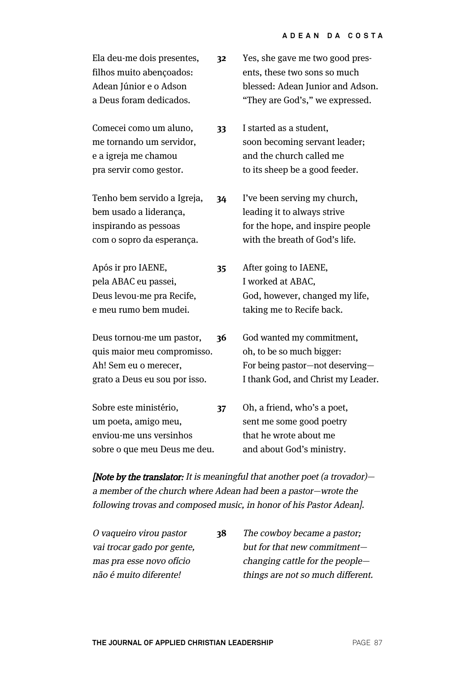| Ela deu-me dois presentes,<br>filhos muito abençoados:<br>Adean Júnior e o Adson<br>a Deus foram dedicados.        | 32 | Yes, she gave me two good pres-<br>ents, these two sons so much<br>blessed: Adean Junior and Adson.<br>"They are God's," we expressed. |
|--------------------------------------------------------------------------------------------------------------------|----|----------------------------------------------------------------------------------------------------------------------------------------|
| Comecei como um aluno,<br>me tornando um servidor,<br>e a igreja me chamou<br>pra servir como gestor.              | 33 | I started as a student,<br>soon becoming servant leader;<br>and the church called me<br>to its sheep be a good feeder.                 |
| Tenho bem servido a Igreja,<br>bem usado a liderança,<br>inspirando as pessoas<br>com o sopro da esperança.        | 34 | I've been serving my church,<br>leading it to always strive<br>for the hope, and inspire people<br>with the breath of God's life.      |
| Após ir pro IAENE,<br>pela ABAC eu passei,<br>Deus levou-me pra Recife,<br>e meu rumo bem mudei.                   | 35 | After going to IAENE,<br>I worked at ABAC,<br>God, however, changed my life,<br>taking me to Recife back.                              |
| Deus tornou-me um pastor,<br>quis maior meu compromisso.<br>Ah! Sem eu o merecer,<br>grato a Deus eu sou por isso. | 36 | God wanted my commitment,<br>oh, to be so much bigger:<br>For being pastor-not deserving-<br>I thank God, and Christ my Leader.        |
| Sobre este ministério,<br>um poeta, amigo meu,<br>enviou-me uns versinhos<br>sobre o que meu Deus me deu.          | 37 | Oh, a friend, who's a poet,<br>sent me some good poetry<br>that he wrote about me<br>and about God's ministry.                         |

[Note by the translator: It is meaningful that another poet (a trovador)a member of the church where Adean had been a pastor—wrote the following trovas and composed music, in honor of his Pastor Adean].

| O vaqueiro virou pastor    | 38 | The cowboy became a pastor;       |
|----------------------------|----|-----------------------------------|
| vai trocar gado por gente, |    | but for that new commitment-      |
| mas pra esse novo ofício   |    | changing cattle for the people-   |
| não é muito diferente!     |    | things are not so much different. |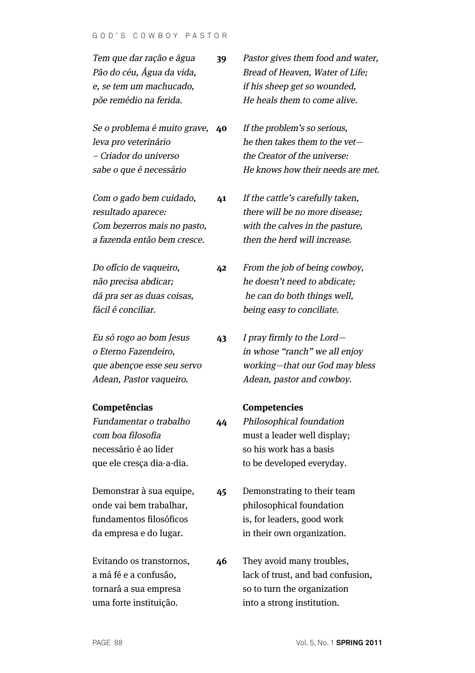| Tem que dar ração e água<br>Pão do céu, Água da vida,<br>e, se tem um machucado,<br>põe remédio na ferida.        | 39 | Pastor gives them food and water,<br>Bread of Heaven, Water of Life;<br>if his sheep get so wounded,<br>He heals them to come alive.   |
|-------------------------------------------------------------------------------------------------------------------|----|----------------------------------------------------------------------------------------------------------------------------------------|
| Se o problema é muito grave,<br>leva pro veterinário<br>- Criador do universo<br>sabe o que é necessário          | 40 | If the problem's so serious,<br>he then takes them to the vet-<br>the Creator of the universe:<br>He knows how their needs are met.    |
| Com o gado bem cuidado,<br>resultado aparece:<br>Com bezerros mais no pasto,<br>a fazenda então bem cresce.       | 41 | If the cattle's carefully taken,<br>there will be no more disease;<br>with the calves in the pasture,<br>then the herd will increase.  |
| Do ofício de vaqueiro,<br>não precisa abdicar;<br>dá pra ser as duas coisas,<br>fácil é conciliar.                | 42 | From the job of being cowboy,<br>he doesn't need to abdicate:<br>he can do both things well,<br>being easy to conciliate.              |
| Eu só rogo ao bom Jesus<br>o Eterno Fazendeiro,<br>que abençoe esse seu servo<br>Adean, Pastor vaqueiro.          | 43 | I pray firmly to the Lord-<br>in whose "ranch" we all enjoy<br>working-that our God may bless<br>Adean, pastor and cowboy.             |
| Competências<br>Fundamentar o trabalho<br>com boa filosofia<br>necessário é ao líder<br>que ele cresça dia-a-dia. | 44 | <b>Competencies</b><br>Philosophical foundation<br>must a leader well display;<br>so his work has a basis<br>to be developed everyday. |
| Demonstrar à sua equipe,<br>onde vai bem trabalhar,<br>fundamentos filosóficos<br>da empresa e do lugar.          | 45 | Demonstrating to their team<br>philosophical foundation<br>is, for leaders, good work<br>in their own organization.                    |
| Evitando os transtornos,<br>a má fé e a confusão,<br>tornará a sua empresa                                        | 46 | They avoid many troubles,<br>lack of trust, and bad confusion,<br>so to turn the organization                                          |

uma forte instituição.

into a strong institution.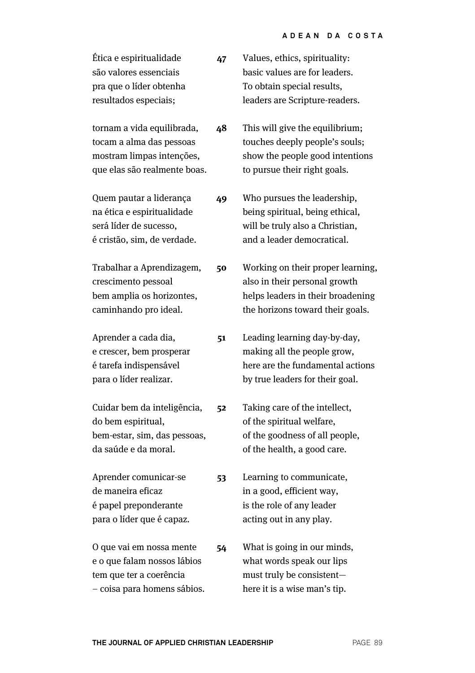| Ética e espiritualidade | 47 | Values, ethics, spirituality:  |
|-------------------------|----|--------------------------------|
| são valores essenciais  |    | basic values are for leaders.  |
| pra que o líder obtenha |    | To obtain special results,     |
| resultados especiais;   |    | leaders are Scripture-readers. |
|                         |    |                                |

tornam a vida equilibrada, tocam a alma das pessoas mostram limpas intenções, que elas são realmente boas. touches deeply people's souls; show the people good intentions to pursue their right goals. **48**

Quem pautar a liderança na ética e espiritualidade será líder de sucesso, é cristão, sim, de verdade. Who pursues the leadership, **49**

Trabalhar a Aprendizagem, crescimento pessoal bem amplia os horizontes, caminhando pro ideal. **50**

**51**

**53**

Aprender a cada dia, e crescer, bem prosperar é tarefa indispensável para o líder realizar.

Cuidar bem da inteligência, do bem espiritual, bem-estar, sim, das pessoas, da saúde e da moral. **52**

Aprender comunicar-se de maneira eficaz é papel preponderante para o líder que é capaz.

O que vai em nossa mente e o que falam nossos lábios tem que ter a coerência – coisa para homens sábios. **54**

This will give the equilibrium;

being spiritual, being ethical, will be truly also a Christian, and a leader democratical.

Working on their proper learning, also in their personal growth helps leaders in their broadening the horizons toward their goals.

Leading learning day-by-day, making all the people grow, here are the fundamental actions by true leaders for their goal.

Taking care of the intellect, of the spiritual welfare, of the goodness of all people, of the health, a good care.

Learning to communicate, in a good, efficient way, is the role of any leader acting out in any play.

What is going in our minds, what words speak our lips must truly be consistent here it is a wise man's tip.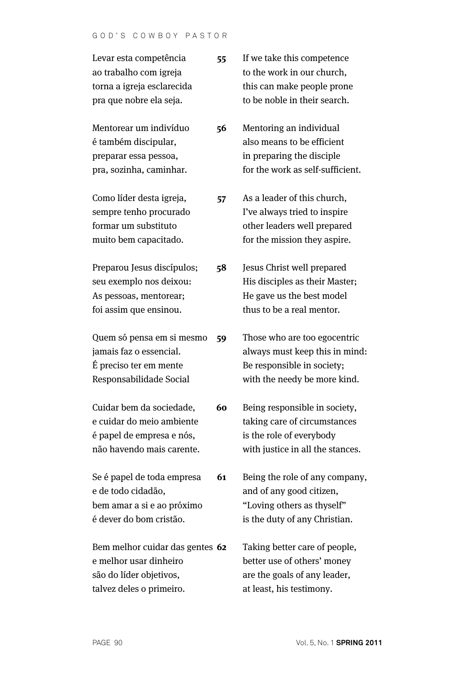| Levar esta competência          | 55 | If we take this competence       |
|---------------------------------|----|----------------------------------|
| ao trabalho com igreja          |    | to the work in our church,       |
| torna a igreja esclarecida      |    | this can make people prone       |
| pra que nobre ela seja.         |    | to be noble in their search.     |
| Mentorear um indivíduo          | 56 | Mentoring an individual          |
| é também discipular,            |    | also means to be efficient       |
| preparar essa pessoa,           |    | in preparing the disciple        |
| pra, sozinha, caminhar.         |    | for the work as self-sufficient. |
| Como líder desta igreja,        | 57 | As a leader of this church,      |
| sempre tenho procurado          |    | I've always tried to inspire     |
| formar um substituto            |    | other leaders well prepared      |
| muito bem capacitado.           |    | for the mission they aspire.     |
| Preparou Jesus discípulos;      | 58 | Jesus Christ well prepared       |
| seu exemplo nos deixou:         |    | His disciples as their Master;   |
| As pessoas, mentorear;          |    | He gave us the best model        |
| foi assim que ensinou.          |    | thus to be a real mentor.        |
| Quem só pensa em si mesmo       | 59 | Those who are too egocentric     |
| jamais faz o essencial.         |    | always must keep this in mind:   |
| É preciso ter em mente          |    | Be responsible in society;       |
| Responsabilidade Social         |    | with the needy be more kind.     |
| Cuidar bem da sociedade,        | 60 | Being responsible in society,    |
| e cuidar do meio ambiente       |    | taking care of circumstances     |
| é papel de empresa e nós,       |    | is the role of everybody         |
| não havendo mais carente.       |    | with justice in all the stances. |
| Se é papel de toda empresa      | 61 | Being the role of any company,   |
| e de todo cidadão,              |    | and of any good citizen,         |
| bem amar a si e ao próximo      |    | "Loving others as thyself"       |
| é dever do bom cristão.         |    | is the duty of any Christian.    |
| Bem melhor cuidar das gentes 62 |    | Taking better care of people,    |
| e melhor usar dinheiro          |    | better use of others' money      |
| são do líder objetivos,         |    | are the goals of any leader,     |
| talvez deles o primeiro.        |    | at least, his testimony.         |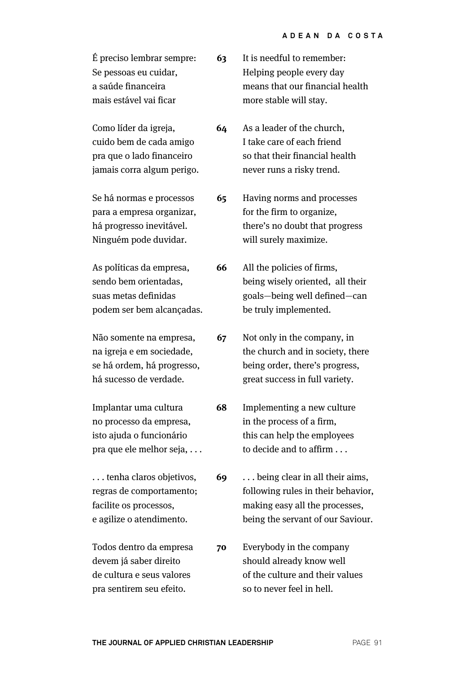| É preciso lembrar sempre: | 63. | It is needful to remember:      |
|---------------------------|-----|---------------------------------|
| Se pessoas eu cuidar,     |     | Helping people every day        |
| a saúde financeira        |     | means that our financial health |
| mais estável vai ficar    |     | more stable will stay.          |

Como líder da igreja, cuido bem de cada amigo pra que o lado financeiro jamais corra algum perigo. never runs a risky trend. **64**

Se há normas e processos para a empresa organizar, há progresso inevitável. Ninguém pode duvidar. Having norms and processes for the firm to organize, will surely maximize. **65**

As políticas da empresa, sendo bem orientadas, suas metas definidas podem ser bem alcançadas. All the policies of firms, be truly implemented. **66**

Não somente na empresa, na igreja e em sociedade, se há ordem, há progresso, há sucesso de verdade. **67**

Implantar uma cultura no processo da empresa, isto ajuda o funcionário pra que ele melhor seja, . . . **68**

. . . tenha claros objetivos, regras de comportamento; facilite os processos, e agilize o atendimento.

Todos dentro da empresa devem já saber direito de cultura e seus valores pra sentirem seu efeito. **70**

As a leader of the church, I take care of each friend so that their financial health

there's no doubt that progress

being wisely oriented, all their goals—being well defined—can

Not only in the company, in the church and in society, there being order, there's progress, great success in full variety.

Implementing a new culture in the process of a firm, this can help the employees to decide and to affirm . . .

. . . being clear in all their aims, following rules in their behavior, making easy all the processes, being the servant of our Saviour. **69**

Everybody in the company should already know well of the culture and their values so to never feel in hell.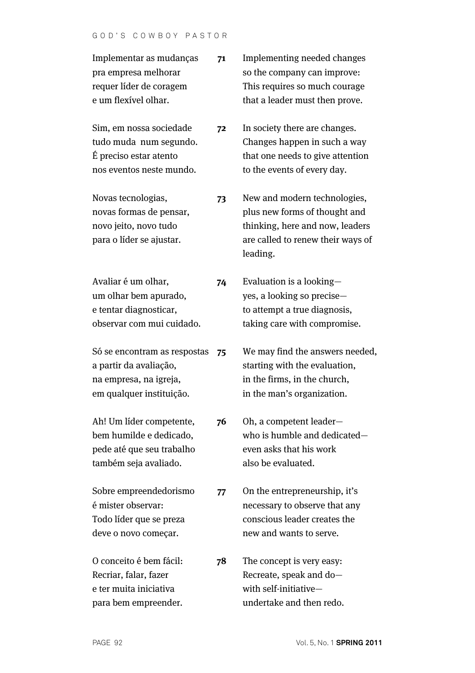### GOD'S COWBOY PASTOR

| Implementar as mudanças<br>pra empresa melhorar<br>requer líder de coragem<br>e um flexível olhar.           | 71 | Implementing needed changes<br>so the company can improve:<br>This requires so much courage<br>that a leader must then prove.                     |
|--------------------------------------------------------------------------------------------------------------|----|---------------------------------------------------------------------------------------------------------------------------------------------------|
| Sim, em nossa sociedade<br>tudo muda num segundo.<br>É preciso estar atento<br>nos eventos neste mundo.      | 72 | In society there are changes.<br>Changes happen in such a way<br>that one needs to give attention<br>to the events of every day.                  |
| Novas tecnologias,<br>novas formas de pensar,<br>novo jeito, novo tudo<br>para o líder se ajustar.           | 73 | New and modern technologies,<br>plus new forms of thought and<br>thinking, here and now, leaders<br>are called to renew their ways of<br>leading. |
| Avaliar é um olhar,<br>um olhar bem apurado,<br>e tentar diagnosticar,<br>observar com mui cuidado.          | 74 | Evaluation is a looking-<br>yes, a looking so precise-<br>to attempt a true diagnosis,<br>taking care with compromise.                            |
| Só se encontram as respostas<br>a partir da avaliação,<br>na empresa, na igreja,<br>em qualquer instituição. | 75 | We may find the answers needed,<br>starting with the evaluation,<br>in the firms, in the church,<br>in the man's organization.                    |
| Ah! Um líder competente,<br>bem humilde e dedicado,<br>pede até que seu trabalho<br>também seja avaliado.    | 76 | Oh, a competent leader-<br>who is humble and dedicated-<br>even asks that his work<br>also be evaluated.                                          |
| Sobre empreendedorismo<br>é mister observar:<br>Todo líder que se preza<br>deve o novo começar.              | 77 | On the entrepreneurship, it's<br>necessary to observe that any<br>conscious leader creates the<br>new and wants to serve.                         |
| O conceito é bem fácil:<br>Recriar, falar, fazer<br>e ter muita iniciativa<br>para bem empreender.           | 78 | The concept is very easy:<br>Recreate, speak and do-<br>with self-initiative-<br>undertake and then redo.                                         |
|                                                                                                              |    |                                                                                                                                                   |